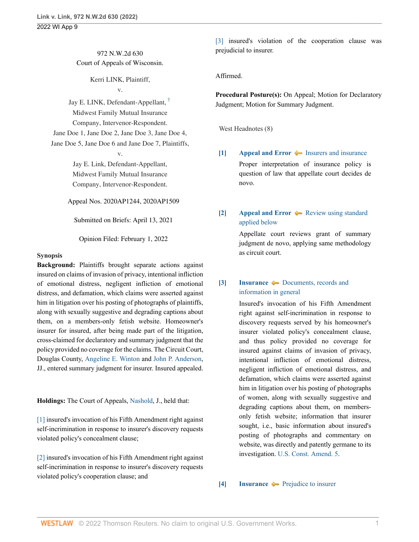# 972 N.W.2d 630 Court of Appeals of Wisconsin.

Kerri LINK, Plaintiff,

v.

Jay E. LINK, Defendant-Appellant, † Midwest Family Mutual Insurance Company, Intervenor-Respondent. Jane Doe 1, Jane Doe 2, Jane Doe 3, Jane Doe 4, Jane Doe 5, Jane Doe 6 and Jane Doe 7, Plaintiffs,

v.

Jay E. Link, Defendant-Appellant, Midwest Family Mutual Insurance Company, Intervenor-Respondent.

Appeal Nos. 2020AP1244, 2020AP1509

Submitted on Briefs: April 13, 2021

Opinion Filed: February 1, 2022

#### **Synopsis**

**Background:** Plaintiffs brought separate actions against insured on claims of invasion of privacy, intentional infliction of emotional distress, negligent infliction of emotional distress, and defamation, which claims were asserted against him in litigation over his posting of photographs of plaintiffs, along with sexually suggestive and degrading captions about them, on a members-only fetish website. Homeowner's insurer for insured, after being made part of the litigation, cross-claimed for declaratory and summary judgment that the policy provided no coverage for the claims. The Circuit Court, Douglas County, Angeline E. Winton and John P. Anderson, JJ., entered summary judgment for insurer. Insured appealed.

**Holdings:** The Court of Appeals, Nashold, J., held that:

[1] insured's invocation of his Fifth Amendment right against self-incrimination in response to insurer's discovery requests violated policy's concealment clause;

[2] insured's invocation of his Fifth Amendment right against self-incrimination in response to insurer's discovery requests violated policy's cooperation clause; and

[3] insured's violation of the cooperation clause was prejudicial to insurer.

Affirmed.

**Procedural Posture(s):** On Appeal; Motion for Declaratory Judgment; Motion for Summary Judgment.

West Headnotes (8)

- **[1] Appeal and Error**  $\blacktriangleright$  Insurers and insurance Proper interpretation of insurance policy is question of law that appellate court decides de novo.
- **[2] Appeal and Error**  $\rightarrow$  Review using standard applied below

Appellate court reviews grant of summary judgment de novo, applying same methodology as circuit court.

# **[3] Insurance**  $\blacklozenge$  Documents, records and information in general

Insured's invocation of his Fifth Amendment right against self-incrimination in response to discovery requests served by his homeowner's insurer violated policy's concealment clause, and thus policy provided no coverage for insured against claims of invasion of privacy, intentional infliction of emotional distress, negligent infliction of emotional distress, and defamation, which claims were asserted against him in litigation over his posting of photographs of women, along with sexually suggestive and degrading captions about them, on membersonly fetish website; information that insurer sought, i.e., basic information about insured's posting of photographs and commentary on website, was directly and patently germane to its investigation. U.S. Const. Amend. 5.

**[4] Insurance Prejudice to insurer**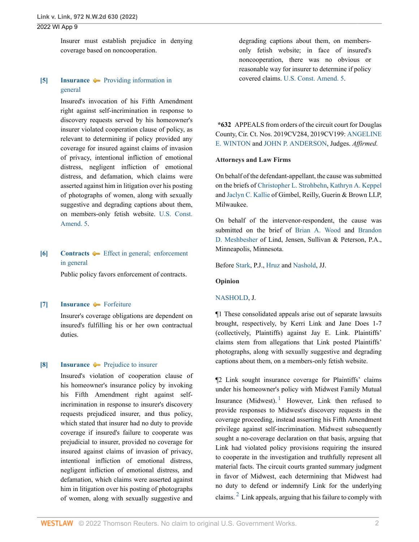Insurer must establish prejudice in denying coverage based on noncooperation.

## **[5] Insurance**  $\blacktriangleright$  **Providing information in** general

Insured's invocation of his Fifth Amendment right against self-incrimination in response to discovery requests served by his homeowner's insurer violated cooperation clause of policy, as relevant to determining if policy provided any coverage for insured against claims of invasion of privacy, intentional infliction of emotional distress, negligent infliction of emotional distress, and defamation, which claims were asserted against him in litigation over his posting of photographs of women, along with sexually suggestive and degrading captions about them, on members-only fetish website. U.S. Const. Amend. 5.

# **[6] Contracts**  $\blacklozenge$  **Effect in general; enforcement** in general

Public policy favors enforcement of contracts.

### **[7] Insurance Forfeiture**

Insurer's coverage obligations are dependent on insured's fulfilling his or her own contractual duties.

#### **[8] Insurance**  $\blacktriangleright$  **Prejudice to insurer**

Insured's violation of cooperation clause of his homeowner's insurance policy by invoking his Fifth Amendment right against selfincrimination in response to insurer's discovery requests prejudiced insurer, and thus policy, which stated that insurer had no duty to provide coverage if insured's failure to cooperate was prejudicial to insurer, provided no coverage for insured against claims of invasion of privacy, intentional infliction of emotional distress, negligent infliction of emotional distress, and defamation, which claims were asserted against him in litigation over his posting of photographs of women, along with sexually suggestive and degrading captions about them, on membersonly fetish website; in face of insured's noncooperation, there was no obvious or reasonable way for insurer to determine if policy covered claims. U.S. Const. Amend. 5.

**\*632** APPEALS from orders of the circuit court for Douglas County, Cir. Ct. Nos. 2019CV284, 2019CV199: ANGELINE E. WINTON and JOHN P. ANDERSON, Judges. *Affirmed.*

#### **Attorneys and Law Firms**

On behalf of the defendant-appellant, the cause was submitted on the briefs of Christopher L. Strohbehn, Kathryn A. Keppel and Jaclyn C. Kallie of Gimbel, Reilly, Guerin & Brown LLP, Milwaukee.

On behalf of the intervenor-respondent, the cause was submitted on the brief of Brian A. Wood and Brandon D. Meshbesher of Lind, Jensen, Sullivan & Peterson, P.A., Minneapolis, Minnesota.

Before Stark, P.J., Hruz and Nashold, JJ.

#### **Opinion**

#### NASHOLD, J.

¶1 These consolidated appeals arise out of separate lawsuits brought, respectively, by Kerri Link and Jane Does 1-7 (collectively, Plaintiffs) against Jay E. Link. Plaintiffs' claims stem from allegations that Link posted Plaintiffs' photographs, along with sexually suggestive and degrading captions about them, on a members-only fetish website.

¶2 Link sought insurance coverage for Plaintiffs' claims under his homeowner's policy with Midwest Family Mutual Insurance (Midwest). <sup>1</sup> However, Link then refused to provide responses to Midwest's discovery requests in the coverage proceeding, instead asserting his Fifth Amendment privilege against self-incrimination. Midwest subsequently sought a no-coverage declaration on that basis, arguing that Link had violated policy provisions requiring the insured to cooperate in the investigation and truthfully represent all material facts. The circuit courts granted summary judgment in favor of Midwest, each determining that Midwest had no duty to defend or indemnify Link for the underlying claims.  $2$  Link appeals, arguing that his failure to comply with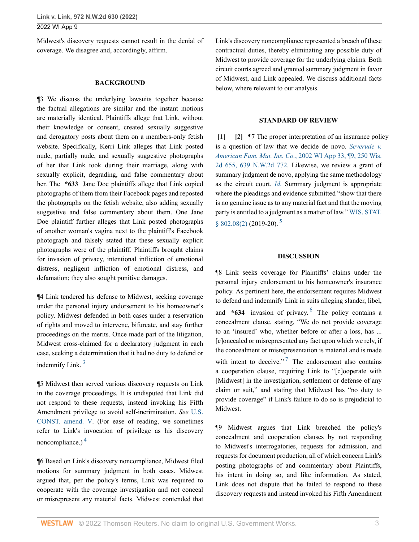Midwest's discovery requests cannot result in the denial of coverage. We disagree and, accordingly, affirm.

#### **BACKGROUND**

¶3 We discuss the underlying lawsuits together because the factual allegations are similar and the instant motions are materially identical. Plaintiffs allege that Link, without their knowledge or consent, created sexually suggestive and derogatory posts about them on a members-only fetish website. Specifically, Kerri Link alleges that Link posted nude, partially nude, and sexually suggestive photographs of her that Link took during their marriage, along with sexually explicit, degrading, and false commentary about her. The **\*633** Jane Doe plaintiffs allege that Link copied photographs of them from their Facebook pages and reposted the photographs on the fetish website, also adding sexually suggestive and false commentary about them. One Jane Doe plaintiff further alleges that Link posted photographs of another woman's vagina next to the plaintiff's Facebook photograph and falsely stated that these sexually explicit photographs were of the plaintiff. Plaintiffs brought claims for invasion of privacy, intentional infliction of emotional distress, negligent infliction of emotional distress, and defamation; they also sought punitive damages.

¶4 Link tendered his defense to Midwest, seeking coverage under the personal injury endorsement to his homeowner's policy. Midwest defended in both cases under a reservation of rights and moved to intervene, bifurcate, and stay further proceedings on the merits. Once made part of the litigation, Midwest cross-claimed for a declaratory judgment in each case, seeking a determination that it had no duty to defend or indemnify Link. $3$ 

¶5 Midwest then served various discovery requests on Link in the coverage proceedings. It is undisputed that Link did not respond to these requests, instead invoking his Fifth Amendment privilege to avoid self-incrimination. *See* U.S. CONST. amend. V. (For ease of reading, we sometimes refer to Link's invocation of privilege as his discovery noncompliance.) <sup>4</sup>

¶6 Based on Link's discovery noncompliance, Midwest filed motions for summary judgment in both cases. Midwest argued that, per the policy's terms, Link was required to cooperate with the coverage investigation and not conceal or misrepresent any material facts. Midwest contended that

Link's discovery noncompliance represented a breach of these contractual duties, thereby eliminating any possible duty of Midwest to provide coverage for the underlying claims. Both circuit courts agreed and granted summary judgment in favor of Midwest, and Link appealed. We discuss additional facts below, where relevant to our analysis.

#### **STANDARD OF REVIEW**

**[1] [2]** ¶7 The proper interpretation of an insurance policy is a question of law that we decide de novo. *Severude v. American Fam. Mut. Ins. Co.*, 2002 WI App 33, ¶9, 250 Wis. 2d 655, 639 N.W.2d 772. Likewise, we review a grant of summary judgment de novo, applying the same methodology as the circuit court. *Id.* Summary judgment is appropriate where the pleadings and evidence submitted "show that there is no genuine issue as to any material fact and that the moving party is entitled to a judgment as a matter of law." WIS. STAT. § 802.08(2) (2019-20). <sup>5</sup>

#### **DISCUSSION**

¶8 Link seeks coverage for Plaintiffs' claims under the personal injury endorsement to his homeowner's insurance policy. As pertinent here, the endorsement requires Midwest to defend and indemnify Link in suits alleging slander, libel, and **\*634** invasion of privacy. <sup>6</sup> The policy contains a concealment clause, stating, "We do not provide coverage to an 'insured' who, whether before or after a loss, has ... [c]oncealed or misrepresented any fact upon which we rely, if the concealment or misrepresentation is material and is made with intent to deceive."<sup>7</sup> The endorsement also contains a cooperation clause, requiring Link to "[c]ooperate with [Midwest] in the investigation, settlement or defense of any claim or suit," and stating that Midwest has "no duty to provide coverage" if Link's failure to do so is prejudicial to Midwest.

¶9 Midwest argues that Link breached the policy's concealment and cooperation clauses by not responding to Midwest's interrogatories, requests for admission, and requests for document production, all of which concern Link's posting photographs of and commentary about Plaintiffs, his intent in doing so, and like information. As stated, Link does not dispute that he failed to respond to these discovery requests and instead invoked his Fifth Amendment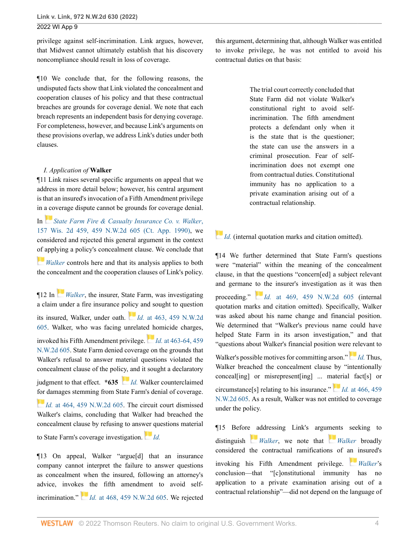privilege against self-incrimination. Link argues, however, that Midwest cannot ultimately establish that his discovery noncompliance should result in loss of coverage.

¶10 We conclude that, for the following reasons, the undisputed facts show that Link violated the concealment and cooperation clauses of his policy and that these contractual breaches are grounds for coverage denial. We note that each breach represents an independent basis for denying coverage. For completeness, however, and because Link's arguments on these provisions overlap, we address Link's duties under both clauses.

### *I. Application of* **Walker**

¶11 Link raises several specific arguments on appeal that we address in more detail below; however, his central argument is that an insured's invocation of a Fifth Amendment privilege in a coverage dispute cannot be grounds for coverage denial.

In *State Farm Fire & Casualty Insurance Co. v. Walker*, 157 Wis. 2d 459, 459 N.W.2d 605 (Ct. App. 1990), we considered and rejected this general argument in the context of applying a policy's concealment clause. We conclude that

*Walker* controls here and that its analysis applies to both the concealment and the cooperation clauses of Link's policy.

¶12 In *Walker*, the insurer, State Farm, was investigating a claim under a fire insurance policy and sought to question its insured, Walker, under oath. *Id.* at 463, 459 N.W.2d 605. Walker, who was facing unrelated homicide charges, invoked his Fifth Amendment privilege. *Id.* at 463-64, 459 N.W.2d 605. State Farm denied coverage on the grounds that Walker's refusal to answer material questions violated the concealment clause of the policy, and it sought a declaratory

judgment to that effect. **\*635** *Id.* Walker counterclaimed for damages stemming from State Farm's denial of coverage.

*Id.* at 464, 459 N.W.2d 605. The circuit court dismissed Walker's claims, concluding that Walker had breached the concealment clause by refusing to answer questions material

to State Farm's coverage investigation. *Id.*

¶13 On appeal, Walker "argue[d] that an insurance company cannot interpret the failure to answer questions as concealment when the insured, following an attorney's advice, invokes the fifth amendment to avoid selfincrimination." *Id.* at 468, 459 N.W.2d 605. We rejected this argument, determining that, although Walker was entitled to invoke privilege, he was not entitled to avoid his contractual duties on that basis:

> The trial court correctly concluded that State Farm did not violate Walker's constitutional right to avoid selfincrimination. The fifth amendment protects a defendant only when it is the state that is the questioner; the state can use the answers in a criminal prosecution. Fear of selfincrimination does not exempt one from contractual duties. Constitutional immunity has no application to a private examination arising out of a contractual relationship.

# *Id.* (internal quotation marks and citation omitted).

¶14 We further determined that State Farm's questions were "material" within the meaning of the concealment clause, in that the questions "concern[ed] a subject relevant and germane to the insurer's investigation as it was then proceeding." *Id.* at 469, 459 N.W.2d 605 (internal quotation marks and citation omitted). Specifically, Walker was asked about his name change and financial position. We determined that "Walker's previous name could have helped State Farm in its arson investigation," and that "questions about Walker's financial position were relevant to Walker's possible motives for committing arson." *Id.* Thus,

Walker breached the concealment clause by "intentionally conceal[ing] or misrepresent[ing] ... material fact[s] or circumstance[s] relating to his insurance." *Id.* at 466, 459 N.W.2d 605. As a result, Walker was not entitled to coverage under the policy.

¶15 Before addressing Link's arguments seeking to distinguish *Walker*, we note that *Walker* broadly considered the contractual ramifications of an insured's invoking his Fifth Amendment privilege. *Walker*'s conclusion—that "[c]onstitutional immunity has no application to a private examination arising out of a contractual relationship"—did not depend on the language of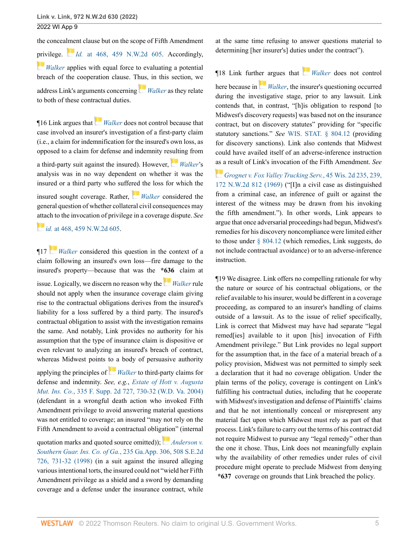the concealment clause but on the scope of Fifth Amendment privilege. *Id.* at 468, 459 N.W.2d 605. Accordingly, *Walker* applies with equal force to evaluating a potential breach of the cooperation clause. Thus, in this section, we address Link's arguments concerning *Walker* as they relate to both of these contractual duties.

¶16 Link argues that *Walker* does not control because that case involved an insurer's investigation of a first-party claim (i.e., a claim for indemnification for the insured's own loss, as opposed to a claim for defense and indemnity resulting from

a third-party suit against the insured). However, *Walker*'s analysis was in no way dependent on whether it was the insured or a third party who suffered the loss for which the insured sought coverage. Rather, *Walker* considered the

general question of whether collateral civil consequences may attach to the invocation of privilege in a coverage dispute. *See*

### *id.* at 468, 459 N.W.2d 605.

¶17 *Walker* considered this question in the context of a claim following an insured's own loss—fire damage to the insured's property—because that was the **\*636** claim at

issue. Logically, we discern no reason why the *Walker* rule should not apply when the insurance coverage claim giving rise to the contractual obligations derives from the insured's liability for a loss suffered by a third party. The insured's contractual obligation to assist with the investigation remains the same. And notably, Link provides no authority for his assumption that the type of insurance claim is dispositive or even relevant to analyzing an insured's breach of contract, whereas Midwest points to a body of persuasive authority

applying the principles of *Walker* to third-party claims for defense and indemnity. *See, e.g.*, *Estate of Hott v. Augusta Mut. Ins. Co.*, 335 F. Supp. 2d 727, 730-32 (W.D. Va. 2004) (defendant in a wrongful death action who invoked Fifth Amendment privilege to avoid answering material questions was not entitled to coverage; an insured "may not rely on the Fifth Amendment to avoid a contractual obligation" (internal

quotation marks and quoted source omitted)); *Anderson v. Southern Guar. Ins. Co. of Ga.*, 235 Ga.App. 306, 508 S.E.2d 726, 731-32 (1998) (in a suit against the insured alleging various intentional torts, the insured could not "wield her Fifth Amendment privilege as a shield and a sword by demanding coverage and a defense under the insurance contract, while at the same time refusing to answer questions material to determining [her insurer's] duties under the contract").

¶18 Link further argues that *Walker* does not control here because in *Walker*, the insurer's questioning occurred during the investigative stage, prior to any lawsuit. Link contends that, in contrast, "[h]is obligation to respond [to Midwest's discovery requests] was based not on the insurance contract, but on discovery statutes" providing for "specific statutory sanctions." *See* WIS. STAT. § 804.12 (providing for discovery sanctions). Link also contends that Midwest could have availed itself of an adverse-inference instruction as a result of Link's invocation of the Fifth Amendment. *See*

*Grognet v. Fox Valley Trucking Serv.*, 45 Wis. 2d 235, 239, 172 N.W.2d 812 (1969) ("[I]n a civil case as distinguished from a criminal case, an inference of guilt or against the interest of the witness may be drawn from his invoking the fifth amendment."). In other words, Link appears to argue that once adversarial proceedings had begun, Midwest's remedies for his discovery noncompliance were limited either to those under § 804.12 (which remedies, Link suggests, do not include contractual avoidance) or to an adverse-inference instruction.

¶19 We disagree. Link offers no compelling rationale for why the nature or source of his contractual obligations, or the relief available to his insurer, would be different in a coverage proceeding, as compared to an insurer's handling of claims outside of a lawsuit. As to the issue of relief specifically, Link is correct that Midwest may have had separate "legal remed[ies] available to it upon [his] invocation of Fifth Amendment privilege." But Link provides no legal support for the assumption that, in the face of a material breach of a policy provision, Midwest was not permitted to simply seek a declaration that it had no coverage obligation. Under the plain terms of the policy, coverage is contingent on Link's fulfilling his contractual duties, including that he cooperate with Midwest's investigation and defense of Plaintiffs' claims and that he not intentionally conceal or misrepresent any material fact upon which Midwest must rely as part of that process. Link's failure to carry out the terms of his contract did not require Midwest to pursue any "legal remedy" other than the one it chose. Thus, Link does not meaningfully explain why the availability of other remedies under rules of civil procedure might operate to preclude Midwest from denying **\*637** coverage on grounds that Link breached the policy.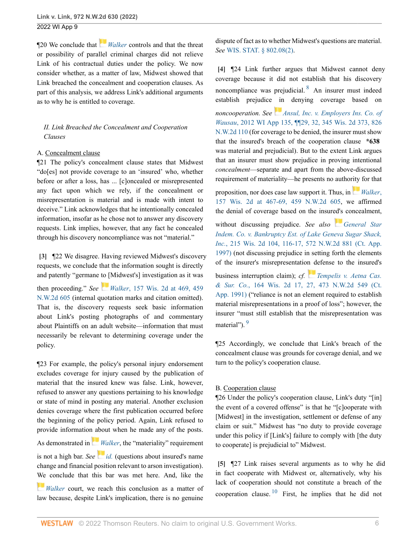¶20 We conclude that *Walker* controls and that the threat or possibility of parallel criminal charges did not relieve Link of his contractual duties under the policy. We now consider whether, as a matter of law, Midwest showed that Link breached the concealment and cooperation clauses. As part of this analysis, we address Link's additional arguments as to why he is entitled to coverage.

# *II. Link Breached the Concealment and Cooperation Clauses*

## A. Concealment clause

¶21 The policy's concealment clause states that Midwest "do[es] not provide coverage to an 'insured' who, whether before or after a loss, has ... [c]oncealed or misrepresented any fact upon which we rely, if the concealment or misrepresentation is material and is made with intent to deceive." Link acknowledges that he intentionally concealed information, insofar as he chose not to answer any discovery requests. Link implies, however, that any fact he concealed through his discovery noncompliance was not "material."

**[3]** ¶22 We disagree. Having reviewed Midwest's discovery requests, we conclude that the information sought is directly and patently "germane to [Midwest's] investigation as it was

then proceeding." *See Walker*, 157 Wis. 2d at 469, 459 N.W.2d 605 (internal quotation marks and citation omitted). That is, the discovery requests seek basic information about Link's posting photographs of and commentary about Plaintiffs on an adult website—information that must necessarily be relevant to determining coverage under the policy.

¶23 For example, the policy's personal injury endorsement excludes coverage for injury caused by the publication of material that the insured knew was false. Link, however, refused to answer any questions pertaining to his knowledge or state of mind in posting any material. Another exclusion denies coverage where the first publication occurred before the beginning of the policy period. Again, Link refused to provide information about when he made any of the posts.

As demonstrated in *Walker*, the "materiality" requirement is not a high bar. *See*  $id.$  (questions about insured's name change and financial position relevant to arson investigation). We conclude that this bar was met here. And, like the

*Walker* court, we reach this conclusion as a matter of law because, despite Link's implication, there is no genuine

dispute of fact as to whether Midwest's questions are material. *See* WIS. STAT. § 802.08(2).

**[4]** ¶24 Link further argues that Midwest cannot deny coverage because it did not establish that his discovery noncompliance was prejudicial. <sup>8</sup> An insurer must indeed establish prejudice in denying coverage based on

*noncooperation. See Ansul, Inc. v. Employers Ins. Co. of Wausau*, 2012 WI App 135, ¶¶29, 32, 345 Wis. 2d 373, 826 N.W.2d 110 (for coverage to be denied, the insurer must show that the insured's breach of the cooperation clause **\*638** was material and prejudicial). But to the extent Link argues that an insurer must show prejudice in proving intentional *concealment*—separate and apart from the above-discussed requirement of materiality—he presents no authority for that

proposition, nor does case law support it. Thus, in *Walker*, 157 Wis. 2d at 467-69, 459 N.W.2d 605, we affirmed the denial of coverage based on the insured's concealment, without discussing prejudice. *See also General Star Indem. Co. v. Bankruptcy Est. of Lake Geneva Sugar Shack, Inc.*, 215 Wis. 2d 104, 116-17, 572 N.W.2d 881 (Ct. App. 1997) (not discussing prejudice in setting forth the elements of the insurer's misrepresentation defense to the insured's

business interruption claim); *cf. Tempelis v. Aetna Cas. & Sur. Co.*, 164 Wis. 2d 17, 27, 473 N.W.2d 549 (Ct. App. 1991) ("reliance is not an element required to establish material misrepresentations in a proof of loss"; however, the insurer "must still establish that the misrepresentation was material").<sup>9</sup>

¶25 Accordingly, we conclude that Link's breach of the concealment clause was grounds for coverage denial, and we turn to the policy's cooperation clause.

# B. Cooperation clause

¶26 Under the policy's cooperation clause, Link's duty "[in] the event of a covered offense" is that he "[c]ooperate with [Midwest] in the investigation, settlement or defense of any claim or suit." Midwest has "no duty to provide coverage under this policy if [Link's] failure to comply with [the duty to cooperate] is prejudicial to" Midwest.

**[5]** ¶27 Link raises several arguments as to why he did in fact cooperate with Midwest or, alternatively, why his lack of cooperation should not constitute a breach of the cooperation clause. <sup>10</sup> First, he implies that he did not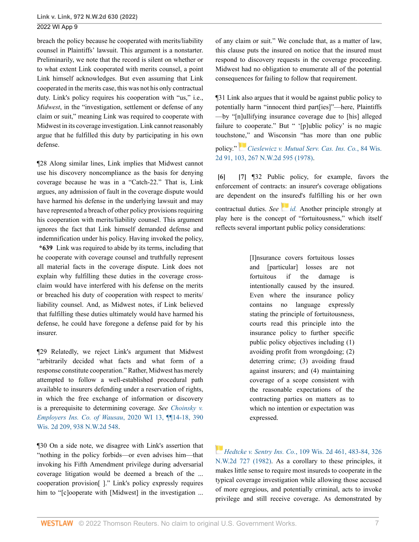breach the policy because he cooperated with merits/liability counsel in Plaintiffs' lawsuit. This argument is a nonstarter. Preliminarily, we note that the record is silent on whether or to what extent Link cooperated with merits counsel, a point Link himself acknowledges. But even assuming that Link cooperated in the merits case, this was not his only contractual duty. Link's policy requires his cooperation with "us," i.e., *Midwest*, in the "investigation, settlement or defense of any claim or suit," meaning Link was required to cooperate with Midwest in its coverage investigation. Link cannot reasonably argue that he fulfilled this duty by participating in his own defense.

¶28 Along similar lines, Link implies that Midwest cannot use his discovery noncompliance as the basis for denying coverage because he was in a "Catch-22." That is, Link argues, any admission of fault in the coverage dispute would have harmed his defense in the underlying lawsuit and may have represented a breach of other policy provisions requiring his cooperation with merits/liability counsel. This argument ignores the fact that Link himself demanded defense and indemnification under his policy. Having invoked the policy,

**\*639** Link was required to abide by its terms, including that he cooperate with coverage counsel and truthfully represent all material facts in the coverage dispute. Link does not explain why fulfilling these duties in the coverage crossclaim would have interfered with his defense on the merits or breached his duty of cooperation with respect to merits/ liability counsel. And, as Midwest notes, if Link believed that fulfilling these duties ultimately would have harmed his defense, he could have foregone a defense paid for by his insurer.

¶29 Relatedly, we reject Link's argument that Midwest "arbitrarily decided what facts and what form of a response constitute cooperation." Rather, Midwest has merely attempted to follow a well-established procedural path available to insurers defending under a reservation of rights, in which the free exchange of information or discovery is a prerequisite to determining coverage. *See Choinsky v. Employers Ins. Co. of Wausau*, 2020 WI 13, ¶¶14-18, 390 Wis. 2d 209, 938 N.W.2d 548.

¶30 On a side note, we disagree with Link's assertion that "nothing in the policy forbids—or even advises him—that invoking his Fifth Amendment privilege during adversarial coverage litigation would be deemed a breach of the ... cooperation provision[ ]." Link's policy expressly requires him to "[c]ooperate with [Midwest] in the investigation ... of any claim or suit." We conclude that, as a matter of law, this clause puts the insured on notice that the insured must respond to discovery requests in the coverage proceeding. Midwest had no obligation to enumerate all of the potential consequences for failing to follow that requirement.

¶31 Link also argues that it would be against public policy to potentially harm "innocent third part[ies]"—here, Plaintiffs —by "[n]ullifying insurance coverage due to [his] alleged failure to cooperate." But " '[p]ublic policy' is no magic touchstone," and Wisconsin "has more than one public policy." *Cieslewicz v. Mutual Serv. Cas. Ins. Co.*, 84 Wis. 2d 91, 103, 267 N.W.2d 595 (1978).

**[6] [7]** ¶32 Public policy, for example, favors the enforcement of contracts: an insurer's coverage obligations are dependent on the insured's fulfilling his or her own contractual duties. *See* id. Another principle strongly at play here is the concept of "fortuitousness," which itself reflects several important public policy considerations:

> [I]nsurance covers fortuitous losses and [particular] losses are not fortuitous if the damage is intentionally caused by the insured. Even where the insurance policy contains no language expressly stating the principle of fortuitousness, courts read this principle into the insurance policy to further specific public policy objectives including (1) avoiding profit from wrongdoing; (2) deterring crime; (3) avoiding fraud against insurers; and (4) maintaining coverage of a scope consistent with the reasonable expectations of the contracting parties on matters as to which no intention or expectation was expressed.

*Hedtcke v. Sentry Ins. Co.*, 109 Wis. 2d 461, 483-84, 326 N.W.2d 727 (1982). As a corollary to these principles, it makes little sense to require most insureds to cooperate in the typical coverage investigation while allowing those accused of more egregious, and potentially criminal, acts to invoke privilege and still receive coverage. As demonstrated by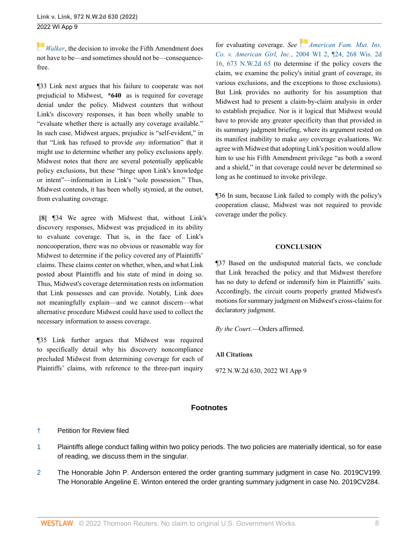*Walker*, the decision to invoke the Fifth Amendment does not have to be—and sometimes should not be—consequencefree.

¶33 Link next argues that his failure to cooperate was not prejudicial to Midwest, **\*640** as is required for coverage denial under the policy. Midwest counters that without Link's discovery responses, it has been wholly unable to "evaluate whether there is actually any coverage available." In such case, Midwest argues, prejudice is "self-evident," in that "Link has refused to provide *any* information" that it might use to determine whether any policy exclusions apply. Midwest notes that there are several potentially applicable policy exclusions, but these "hinge upon Link's knowledge or intent"—information in Link's "sole possession." Thus, Midwest contends, it has been wholly stymied, at the outset, from evaluating coverage.

**[8]** ¶34 We agree with Midwest that, without Link's discovery responses, Midwest was prejudiced in its ability to evaluate coverage. That is, in the face of Link's noncooperation, there was no obvious or reasonable way for Midwest to determine if the policy covered any of Plaintiffs' claims. These claims center on whether, when, and what Link posted about Plaintiffs and his state of mind in doing so. Thus, Midwest's coverage determination rests on information that Link possesses and can provide. Notably, Link does not meaningfully explain—and we cannot discern—what alternative procedure Midwest could have used to collect the necessary information to assess coverage.

¶35 Link further argues that Midwest was required to specifically detail why his discovery noncompliance precluded Midwest from determining coverage for each of Plaintiffs' claims, with reference to the three-part inquiry

for evaluating coverage. *See American Fam. Mut. Ins. Co. v. American Girl, Inc.*, 2004 WI 2, ¶24, 268 Wis. 2d 16, 673 N.W.2d 65 (to determine if the policy covers the claim, we examine the policy's initial grant of coverage, its various exclusions, and the exceptions to those exclusions). But Link provides no authority for his assumption that Midwest had to present a claim-by-claim analysis in order to establish prejudice. Nor is it logical that Midwest would have to provide any greater specificity than that provided in its summary judgment briefing, where its argument rested on its manifest inability to make *any* coverage evaluations. We agree with Midwest that adopting Link's position would allow him to use his Fifth Amendment privilege "as both a sword and a shield," in that coverage could never be determined so long as he continued to invoke privilege.

¶36 In sum, because Link failed to comply with the policy's cooperation clause, Midwest was not required to provide coverage under the policy.

## **CONCLUSION**

¶37 Based on the undisputed material facts, we conclude that Link breached the policy and that Midwest therefore has no duty to defend or indemnify him in Plaintiffs' suits. Accordingly, the circuit courts properly granted Midwest's motions for summary judgment on Midwest's cross-claims for declaratory judgment.

*By the Court.*—Orders affirmed.

## **All Citations**

972 N.W.2d 630, 2022 WI App 9

# **Footnotes**

# † Petition for Review filed

- 1 Plaintiffs allege conduct falling within two policy periods. The two policies are materially identical, so for ease of reading, we discuss them in the singular.
- 2 The Honorable John P. Anderson entered the order granting summary judgment in case No. 2019CV199. The Honorable Angeline E. Winton entered the order granting summary judgment in case No. 2019CV284.